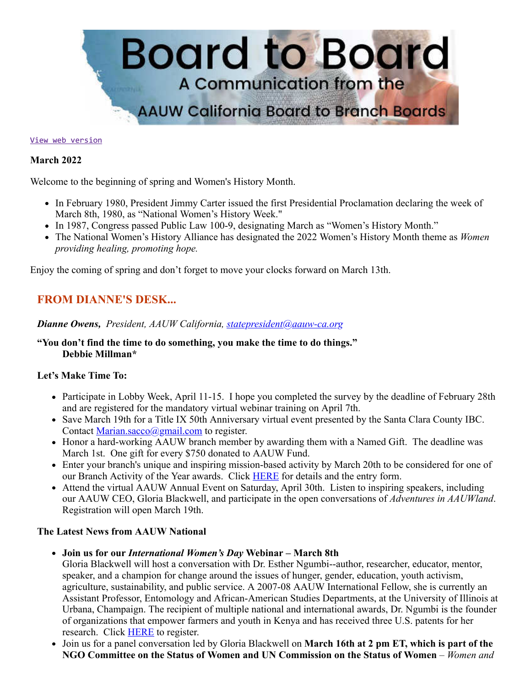

#### [View web version](https://bor.aauw-ca.org/sendy/w/892iUf2Z3Hxblitd0dEvE47A/wVU892892Xu9PNq3IbigHQrC7A/6Vly16GQpoxdr33ZHi2zOw)

### **March 2022**

Welcome to the beginning of spring and Women's History Month.

- In February 1980, President Jimmy Carter issued the first Presidential Proclamation declaring the week of March 8th, 1980, as "National Women's History Week."
- In 1987, Congress passed Public Law 100-9, designating March as "Women's History Month."
- The National Women's History Alliance has designated the 2022 Women's History Month theme as *Women providing healing, promoting hope.*

Enjoy the coming of spring and don't forget to move your clocks forward on March 13th.

# **FROM DIANNE'S DESK...**

*Dianne Owens, President, AAUW California, [statepresident@aauw-ca.org](mailto:statepresident@aauw-ca.org)* 

### **"You don't find the time to do something, you make the time to do things." Debbie Millman\***

## **Let's Make Time To:**

- Participate in Lobby Week, April 11-15. I hope you completed the survey by the deadline of February 28th and are registered for the mandatory virtual webinar training on April 7th.
- Save March 19th for a Title IX 50th Anniversary virtual event presented by the Santa Clara County IBC. Contact [Marian.sacco@gmail.com](mailto:Marian.sacco@gmail.com) to register.
- Honor a hard-working AAUW branch member by awarding them with a Named Gift. The deadline was March 1st. One gift for every \$750 donated to AAUW Fund.
- Enter your branch's unique and inspiring mission-based activity by March 20th to be considered for one of our Branch Activity of the Year awards. Click [HERE](https://bor.aauw-ca.org/sendy/l/892iUf2Z3Hxblitd0dEvE47A/q6aJkBXjJ5l763JCiX763eCDGQ/6Vly16GQpoxdr33ZHi2zOw) for details and the entry form.
- Attend the virtual AAUW Annual Event on Saturday, April 30th. Listen to inspiring speakers, including our AAUW CEO, Gloria Blackwell, and participate in the open conversations of *Adventures in AAUWland*. Registration will open March 19th.

## **The Latest News from AAUW National**

- **Join us for our** *International Women's Day* **Webinar March 8th**
- Gloria Blackwell will host a conversation with Dr. Esther Ngumbi--author, researcher, educator, mentor, speaker, and a champion for change around the issues of hunger, gender, education, youth activism, agriculture, sustainability, and public service. A 2007-08 AAUW International Fellow, she is currently an Assistant Professor, Entomology and African-American Studies Departments, at the University of Illinois at Urbana, Champaign. The recipient of multiple national and international awards, Dr. Ngumbi is the founder of organizations that empower farmers and youth in Kenya and has received three U.S. patents for her research. Click **HERE** to register.
- Join us for a panel conversation led by Gloria Blackwell on **March 16th at 2 pm ET, which is part of the NGO Committee on the Status of Women and UN Commission on the Status of Women** – *Women and*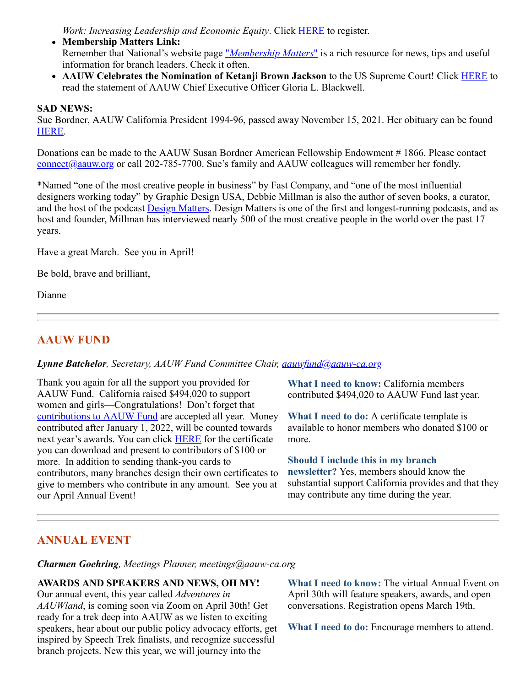*Work: Increasing Leadership and Economic Equity*. Click [HERE](https://bor.aauw-ca.org/sendy/l/892iUf2Z3Hxblitd0dEvE47A/M6H2vt3qLB6rG0qzMXHKXg/6Vly16GQpoxdr33ZHi2zOw) to register.

- **Membership Matters Link:** Remember that National's website page "*[Membership Matters](https://bor.aauw-ca.org/sendy/l/892iUf2Z3Hxblitd0dEvE47A/zpkmSHSbAEaCfkIVGdrvVg/6Vly16GQpoxdr33ZHi2zOw)*" is a rich resource for news, tips and useful information for branch leaders. Check it often.
- **AAUW Celebrates the Nomination of Ketanji Brown Jackson** to the US Supreme Court! Click **[HERE](https://bor.aauw-ca.org/sendy/l/892iUf2Z3Hxblitd0dEvE47A/T9dWrZipfMPl6LxRW3Qzsg/6Vly16GQpoxdr33ZHi2zOw)** to read the statement of AAUW Chief Executive Officer Gloria L. Blackwell.

## **SAD NEWS:**

Sue Bordner, AAUW California President 1994-96, passed away November 15, 2021. Her obituary can be found [HERE](https://bor.aauw-ca.org/sendy/l/892iUf2Z3Hxblitd0dEvE47A/M4y4OJpK7Y47638U6cXw2rnA/6Vly16GQpoxdr33ZHi2zOw).

Donations can be made to the AAUW Susan Bordner American Fellowship Endowment #1866. Please contact [connect@aauw.org](mailto:connect@aauw.org) or call 202-785-7700. Sue's family and AAUW colleagues will remember her fondly.

\*Named "one of the most creative people in business" by Fast Company, and "one of the most influential designers working today" by Graphic Design USA, Debbie Millman is also the author of seven books, a curator, and the host of the podcast [Design Matters](https://bor.aauw-ca.org/sendy/l/892iUf2Z3Hxblitd0dEvE47A/EofN4EYlMlIPRq8tkNP4AA/6Vly16GQpoxdr33ZHi2zOw). Design Matters is one of the first and longest-running podcasts, and as host and founder, Millman has interviewed nearly 500 of the most creative people in the world over the past 17 years.

Have a great March. See you in April!

Be bold, brave and brilliant,

Dianne

# **AAUW FUND**

*Lynne Batchelor, Secretary, AAUW Fund Committee Chair, [aauwfund@aauw-ca.org](mailto:aauwfund@aauw-ca.org)*

Thank you again for all the support you provided for AAUW Fund. California raised \$494,020 to support women and girls—Congratulations! Don't forget that [contributions to AAUW Fund](https://bor.aauw-ca.org/sendy/l/892iUf2Z3Hxblitd0dEvE47A/c7yr8TpYzycoMHwdmBbj5w/6Vly16GQpoxdr33ZHi2zOw) are accepted all year. Money contributed after January 1, 2022, will be counted towards next year's awards. You can click [HERE](https://bor.aauw-ca.org/sendy/l/892iUf2Z3Hxblitd0dEvE47A/5Lwa892a9abWd0WYo8JupY5A/6Vly16GQpoxdr33ZHi2zOw) for the certificate you can download and present to contributors of \$100 or more. In addition to sending thank-you cards to contributors, many branches design their own certificates to give to members who contribute in any amount. See you at our April Annual Event!

**What I need to know:** California members contributed \$494,020 to AAUW Fund last year.

**What I need to do:** A certificate template is available to honor members who donated \$100 or more.

### **Should I include this in my branch**

**newsletter?** Yes, members should know the substantial support California provides and that they may contribute any time during the year.

# **ANNUAL EVENT**

*Charmen Goehring, Meetings Planner, meetings@aauw-ca.org*

**AWARDS AND SPEAKERS AND NEWS, OH MY!**

Our annual event, this year called *Adventures in AAUWland*, is coming soon via Zoom on April 30th! Get ready for a trek deep into AAUW as we listen to exciting speakers, hear about our public policy advocacy efforts, get inspired by Speech Trek finalists, and recognize successful branch projects. New this year, we will journey into the

**What I need to know:** The virtual Annual Event on April 30th will feature speakers, awards, and open conversations. Registration opens March 19th.

**What I need to do:** Encourage members to attend.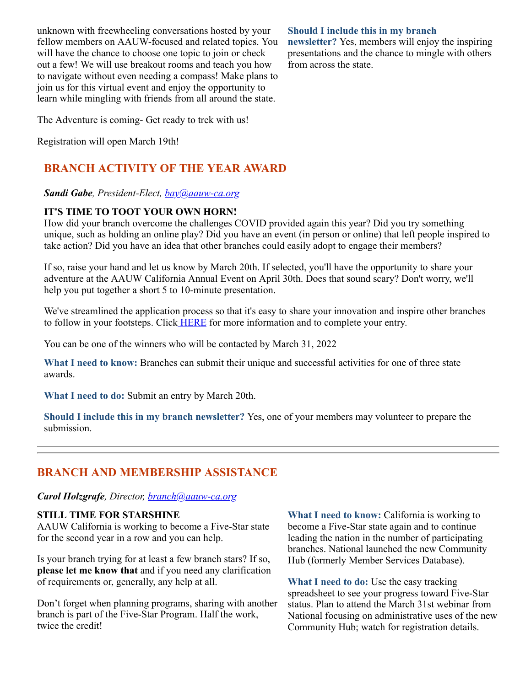unknown with freewheeling conversations hosted by your fellow members on AAUW-focused and related topics. You will have the chance to choose one topic to join or check out a few! We will use breakout rooms and teach you how to navigate without even needing a compass! Make plans to join us for this virtual event and enjoy the opportunity to learn while mingling with friends from all around the state.

The Adventure is coming- Get ready to trek with us!

Registration will open March 19th!

# **BRANCH ACTIVITY OF THE YEAR AWARD**

## *Sandi Gabe, President-Elect, [bay@aauw-ca.org](mailto:bay@aauw-ca.org)*

## **IT'S TIME TO TOOT YOUR OWN HORN!**

How did your branch overcome the challenges COVID provided again this year? Did you try something unique, such as holding an online play? Did you have an event (in person or online) that left people inspired to take action? Did you have an idea that other branches could easily adopt to engage their members?

If so, raise your hand and let us know by March 20th. If selected, you'll have the opportunity to share your adventure at the AAUW California Annual Event on April 30th. Does that sound scary? Don't worry, we'll help you put together a short 5 to 10-minute presentation.

We've streamlined the application process so that it's easy to share your innovation and inspire other branches to follow in your footsteps. Click **HERE** for more information and to complete your entry.

You can be one of the winners who will be contacted by March 31, 2022

**What I need to know:** Branches can submit their unique and successful activities for one of three state awards.

**What I need to do:** Submit an entry by March 20th.

**Should I include this in my branch newsletter?** Yes, one of your members may volunteer to prepare the submission.

## **BRANCH AND MEMBERSHIP ASSISTANCE**

### *Carol Holzgrafe, Director, [branch@aauw-ca.org](mailto:branch@aauw-ca.org)*

## **STILL TIME FOR STARSHINE**

AAUW California is working to become a Five-Star state for the second year in a row and you can help.

Is your branch trying for at least a few branch stars? If so, **please let me know that** and if you need any clarification of requirements or, generally, any help at all.

Don't forget when planning programs, sharing with another branch is part of the Five-Star Program. Half the work, twice the credit!

**What I need to know:** California is working to become a Five-Star state again and to continue leading the nation in the number of participating branches. National launched the new Community Hub (formerly Member Services Database).

**What I need to do:** Use the easy tracking spreadsheet to see your progress toward Five-Star status. Plan to attend the March 31st webinar from National focusing on administrative uses of the new Community Hub; watch for registration details.

### **Should I include this in my branch**

**newsletter?** Yes, members will enjoy the inspiring presentations and the chance to mingle with others from across the state.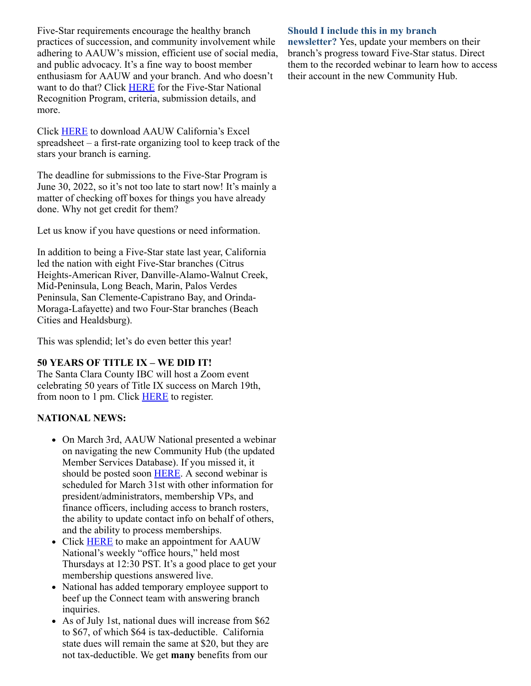Five-Star requirements encourage the healthy branch practices of succession, and community involvement while adhering to AAUW's mission, efficient use of social media, and public advocacy. It's a fine way to boost member enthusiasm for AAUW and your branch. And who doesn't want to do that? Click [HERE](https://bor.aauw-ca.org/sendy/l/892iUf2Z3Hxblitd0dEvE47A/gGrdyoz6O6BezEW0Y2FdDA/6Vly16GQpoxdr33ZHi2zOw) for the Five-Star National Recognition Program, criteria, submission details, and more.

Click [HERE](https://bor.aauw-ca.org/sendy/l/892iUf2Z3Hxblitd0dEvE47A/KC4nhkVt1YGcpfK4sr763zrQ/6Vly16GQpoxdr33ZHi2zOw) to download AAUW California's Excel spreadsheet – a first-rate organizing tool to keep track of the stars your branch is earning.

The deadline for submissions to the Five-Star Program is June 30, 2022, so it's not too late to start now! It's mainly a matter of checking off boxes for things you have already done. Why not get credit for them?

Let us know if you have questions or need information.

In addition to being a Five-Star state last year, California led the nation with eight Five-Star branches (Citrus Heights-American River, Danville-Alamo-Walnut Creek, Mid-Peninsula, Long Beach, Marin, Palos Verdes Peninsula, San Clemente-Capistrano Bay, and Orinda-Moraga-Lafayette) and two Four-Star branches (Beach Cities and Healdsburg).

This was splendid; let's do even better this year!

### **50 YEARS OF TITLE IX – WE DID IT!**

The Santa Clara County IBC will host a Zoom event celebrating 50 years of Title IX success on March 19th, from noon to 1 pm. Click **[HERE](https://bor.aauw-ca.org/sendy/l/892iUf2Z3Hxblitd0dEvE47A/9ldCrVx763o7uc10iPNJpiiQ/6Vly16GQpoxdr33ZHi2zOw)** to register.

### **NATIONAL NEWS:**

- On March 3rd, AAUW National presented a webinar on navigating the new Community Hub (the updated Member Services Database). If you missed it, it should be posted soon [HERE](https://bor.aauw-ca.org/sendy/l/892iUf2Z3Hxblitd0dEvE47A/k1e0aRcKwQjQfaYjDKjTtw/6Vly16GQpoxdr33ZHi2zOw). A second webinar is scheduled for March 31st with other information for president/administrators, membership VPs, and finance officers, including access to branch rosters, the ability to update contact info on behalf of others, and the ability to process memberships.
- Click **[HERE](https://bor.aauw-ca.org/sendy/l/892iUf2Z3Hxblitd0dEvE47A/9CIyn7634tOF763svjCz892hsV5g/6Vly16GQpoxdr33ZHi2zOw)** to make an appointment for AAUW National's weekly "office hours," held most Thursdays at 12:30 PST. It's a good place to get your membership questions answered live.
- National has added temporary employee support to beef up the Connect team with answering branch inquiries.
- As of July 1st, national dues will increase from \$62 to \$67, of which \$64 is tax-deductible. California state dues will remain the same at \$20, but they are not tax-deductible. We get **many** benefits from our

### **Should I include this in my branch**

**newsletter?** Yes, update your members on their branch's progress toward Five-Star status. Direct them to the recorded webinar to learn how to access their account in the new Community Hub.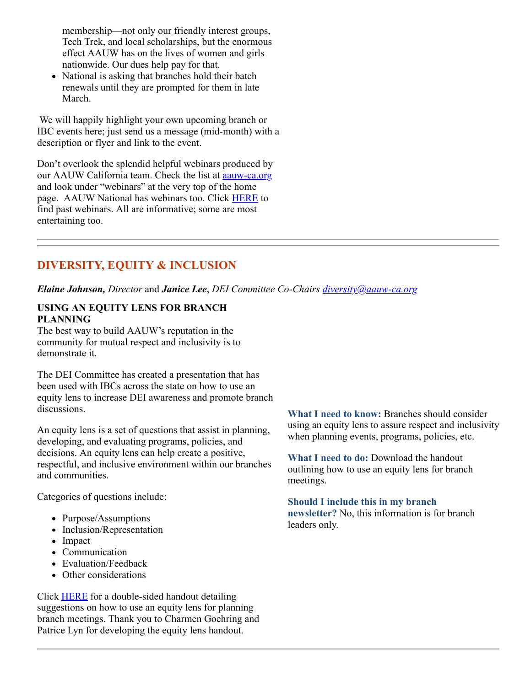membership—not only our friendly interest groups, Tech Trek, and local scholarships, but the enormous effect AAUW has on the lives of women and girls nationwide. Our dues help pay for that.

• National is asking that branches hold their batch renewals until they are prompted for them in late March.

We will happily highlight your own upcoming branch or IBC events here; just send us a message (mid-month) with a description or flyer and link to the event.

Don't overlook the splendid helpful webinars produced by our AAUW California team. Check the list at [aauw-ca.org](https://bor.aauw-ca.org/sendy/l/892iUf2Z3Hxblitd0dEvE47A/60xMhkHfahphKWQ52J5tmw/6Vly16GQpoxdr33ZHi2zOw) and look under "webinars" at the very top of the home page. AAUW National has webinars too. Click [HERE](https://bor.aauw-ca.org/sendy/l/892iUf2Z3Hxblitd0dEvE47A/k1e0aRcKwQjQfaYjDKjTtw/6Vly16GQpoxdr33ZHi2zOw) to find past webinars. All are informative; some are most entertaining too.

# **DIVERSITY, EQUITY & INCLUSION**

*Elaine Johnson, Director* and *Janice Lee*, *DEI Committee Co-Chairs [diversity@aauw-ca.org](mailto:diversity@aauw-ca.org)*

### **USING AN EQUITY LENS FOR BRANCH PLANNING**

The best way to build AAUW's reputation in the community for mutual respect and inclusivity is to demonstrate it.

The DEI Committee has created a presentation that has been used with IBCs across the state on how to use an equity lens to increase DEI awareness and promote branch discussions.

An equity lens is a set of questions that assist in planning, developing, and evaluating programs, policies, and decisions. An equity lens can help create a positive, respectful, and inclusive environment within our branches and communities.

Categories of questions include:

- Purpose/Assumptions
- Inclusion/Representation
- Impact
- Communication
- Evaluation/Feedback
- Other considerations

Click [HERE](https://bor.aauw-ca.org/sendy/l/892iUf2Z3Hxblitd0dEvE47A/tqOz0Im9Q8QMsJC6IMTyqQ/6Vly16GQpoxdr33ZHi2zOw) for a double-sided handout detailing suggestions on how to use an equity lens for planning branch meetings. Thank you to Charmen Goehring and Patrice Lyn for developing the equity lens handout.

**What I need to know:** Branches should consider using an equity lens to assure respect and inclusivity when planning events, programs, policies, etc.

**What I need to do:** Download the handout outlining how to use an equity lens for branch meetings.

**Should I include this in my branch newsletter?** No, this information is for branch leaders only.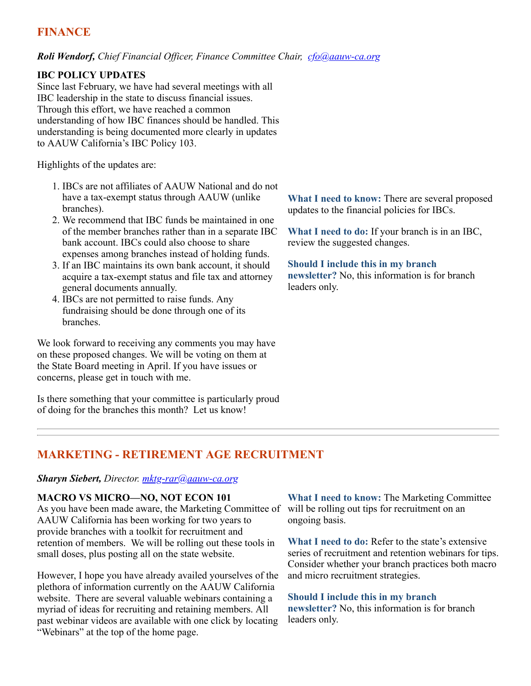## **FINANCE**

**Roli Wendorf,** Chief Financial Officer, Finance Committee Chair, *[cfo@aauw-ca.org](mailto:cfo@aauw-ca.org)* 

## **IBC POLICY UPDATES**

Since last February, we have had several meetings with all IBC leadership in the state to discuss financial issues. Through this effort, we have reached a common understanding of how IBC finances should be handled. This understanding is being documented more clearly in updates to AAUW California's IBC Policy 103.

Highlights of the updates are:

- 1. IBCs are not affiliates of AAUW National and do not have a tax-exempt status through AAUW (unlike branches).
- 2. We recommend that IBC funds be maintained in one of the member branches rather than in a separate IBC bank account. IBCs could also choose to share expenses among branches instead of holding funds.
- 3. If an IBC maintains its own bank account, it should acquire a tax-exempt status and file tax and attorney general documents annually.
- 4. IBCs are not permitted to raise funds. Any fundraising should be done through one of its branches.

We look forward to receiving any comments you may have on these proposed changes. We will be voting on them at the State Board meeting in April. If you have issues or concerns, please get in touch with me.

Is there something that your committee is particularly proud of doing for the branches this month? Let us know!

**What I need to know:** There are several proposed updates to the financial policies for IBCs.

**What I need to do:** If your branch is in an IBC, review the suggested changes.

**Should I include this in my branch newsletter?** No, this information is for branch leaders only.

## **MARKETING - RETIREMENT AGE RECRUITMENT**

### *Sharyn Siebert, Director. [mktg-rar@aauw-ca.org](mailto:mktg-rar@aauw-ca.org)*

### **MACRO VS MICRO—NO, NOT ECON 101**

As you have been made aware, the Marketing Committee of AAUW California has been working for two years to provide branches with a toolkit for recruitment and retention of members. We will be rolling out these tools in small doses, plus posting all on the state website.

However, I hope you have already availed yourselves of the plethora of information currently on the AAUW California website. There are several valuable webinars containing a myriad of ideas for recruiting and retaining members. All past webinar videos are available with one click by locating "Webinars" at the top of the home page.

**What I need to know:** The Marketing Committee will be rolling out tips for recruitment on an ongoing basis.

**What I need to do:** Refer to the state's extensive series of recruitment and retention webinars for tips. Consider whether your branch practices both macro and micro recruitment strategies.

**Should I include this in my branch newsletter?** No, this information is for branch leaders only.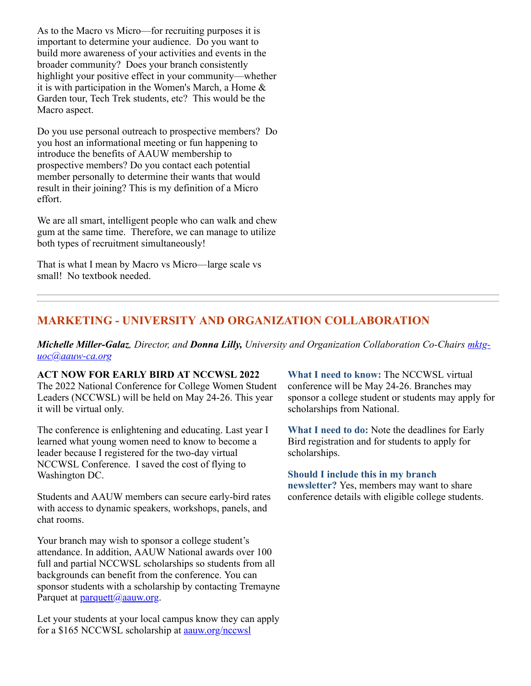As to the Macro vs Micro—for recruiting purposes it is important to determine your audience. Do you want to build more awareness of your activities and events in the broader community? Does your branch consistently highlight your positive effect in your community—whether it is with participation in the Women's March, a Home & Garden tour, Tech Trek students, etc? This would be the Macro aspect.

Do you use personal outreach to prospective members? Do you host an informational meeting or fun happening to introduce the benefits of AAUW membership to prospective members? Do you contact each potential member personally to determine their wants that would result in their joining? This is my definition of a Micro effort.

We are all smart, intelligent people who can walk and chew gum at the same time. Therefore, we can manage to utilize both types of recruitment simultaneously!

That is what I mean by Macro vs Micro—large scale vs small! No textbook needed.

# **MARKETING - UNIVERSITY AND ORGANIZATION COLLABORATION**

*Michelle Miller-Galaz, Director, and Donna Lilly, [University and Organization Collaboration](mailto:mktg-uoc@aauw-ca.org) Co-Chairs mktguoc@aauw-ca.org*

**ACT NOW FOR EARLY BIRD AT NCCWSL 2022** The 2022 National Conference for College Women Student Leaders (NCCWSL) will be held on May 24-26. This year it will be virtual only.

The conference is enlightening and educating. Last year I learned what young women need to know to become a leader because I registered for the two-day virtual NCCWSL Conference. I saved the cost of flying to Washington DC.

Students and AAUW members can secure early-bird rates with access to dynamic speakers, workshops, panels, and chat rooms.

Your branch may wish to sponsor a college student's attendance. In addition, AAUW National awards over 100 full and partial NCCWSL scholarships so students from all backgrounds can benefit from the conference. You can sponsor students with a scholarship by contacting Tremayne Parquet at [parquett@aauw.org](mailto:parquett@aauw.org).

Let your students at your local campus know they can apply for a \$165 NCCWSL scholarship at **[aauw.org/nccwsl](https://bor.aauw-ca.org/sendy/l/892iUf2Z3Hxblitd0dEvE47A/tprh6YDsQ3UBTvuS4C892cDQ/6Vly16GQpoxdr33ZHi2zOw)** 

**What I need to know:** The NCCWSL virtual conference will be May 24-26. Branches may sponsor a college student or students may apply for scholarships from National.

**What I need to do:** Note the deadlines for Early Bird registration and for students to apply for scholarships.

### **Should I include this in my branch**

**newsletter?** Yes, members may want to share conference details with eligible college students.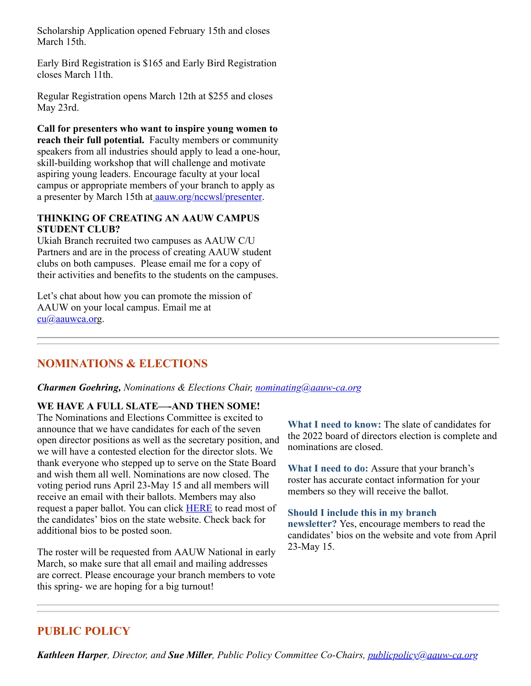Scholarship Application opened February 15th and closes March 15th.

Early Bird Registration is \$165 and Early Bird Registration closes March 11th.

Regular Registration opens March 12th at \$255 and closes May 23rd.

**Call for presenters who want to inspire young women to reach their full potential.** Faculty members or community speakers from all industries should apply to lead a one-hour, skill-building workshop that will challenge and motivate aspiring young leaders. Encourage faculty at your local campus or appropriate members of your branch to apply as a presenter by March 15th at **aauw.org/nccwsl/presenter**.

## **THINKING OF CREATING AN AAUW CAMPUS STUDENT CLUB?**

Ukiah Branch recruited two campuses as AAUW C/U Partners and are in the process of creating AAUW student clubs on both campuses. Please email me for a copy of their activities and benefits to the students on the campuses.

Let's chat about how you can promote the mission of AAUW on your local campus. Email me at [cu@aauwca.org](mailto:cu@aauwca.org).

# **NOMINATIONS & ELECTIONS**

*Charmen Goehring, Nominations & Elections Chair, [nominating@aauw-ca.org](mailto:nominating@aauw-ca.org)*

## **WE HAVE A FULL SLATE—-AND THEN SOME!**

The Nominations and Elections Committee is excited to announce that we have candidates for each of the seven open director positions as well as the secretary position, and we will have a contested election for the director slots. We thank everyone who stepped up to serve on the State Board and wish them all well. Nominations are now closed. The voting period runs April 23-May 15 and all members will receive an email with their ballots. Members may also request a paper ballot. You can click **HERE** to read most of the candidates' bios on the state website. Check back for additional bios to be posted soon.

The roster will be requested from AAUW National in early March, so make sure that all email and mailing addresses are correct. Please encourage your branch members to vote this spring- we are hoping for a big turnout!

**What I need to know:** The slate of candidates for the 2022 board of directors election is complete and nominations are closed.

**What I need to do:** Assure that your branch's roster has accurate contact information for your members so they will receive the ballot.

## **Should I include this in my branch**

**newsletter?** Yes, encourage members to read the candidates' bios on the website and vote from April 23-May 15.

# **PUBLIC POLICY**

*Kathleen Harper, Director, and Sue Miller, Public Policy Committee Co-Chairs, [publicpolicy@aauw-ca.org](mailto:PublicPolicy@aauw-ca.org)*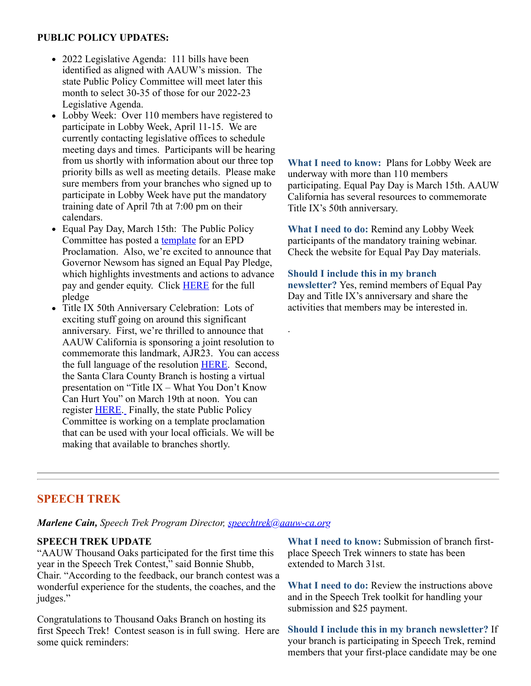## **PUBLIC POLICY UPDATES:**

- 2022 Legislative Agenda: 111 bills have been identified as aligned with AAUW's mission. The state Public Policy Committee will meet later this month to select 30-35 of those for our 2022-23 Legislative Agenda.
- Lobby Week: Over 110 members have registered to participate in Lobby Week, April 11-15. We are currently contacting legislative offices to schedule meeting days and times. Participants will be hearing from us shortly with information about our three top priority bills as well as meeting details. Please make sure members from your branches who signed up to participate in Lobby Week have put the mandatory training date of April 7th at 7:00 pm on their calendars.
- Equal Pay Day, March 15th: The Public Policy Committee has posted a [template](https://bor.aauw-ca.org/sendy/l/892iUf2Z3Hxblitd0dEvE47A/VIl7oH2892GdhY4veoeNn8CA/6Vly16GQpoxdr33ZHi2zOw) for an EPD Proclamation. Also, we're excited to announce that Governor Newsom has signed an Equal Pay Pledge, which highlights investments and actions to advance pay and gender equity. Click **[HERE](https://bor.aauw-ca.org/sendy/l/892iUf2Z3Hxblitd0dEvE47A/VY75qxmmOAfyMXOOhrVwAg/6Vly16GQpoxdr33ZHi2zOw)** for the full pledge
- Title IX 50th Anniversary Celebration: Lots of exciting stuff going on around this significant anniversary. First, we're thrilled to announce that AAUW California is sponsoring a joint resolution to commemorate this landmark, AJR23. You can access the full language of the resolution [HERE](https://bor.aauw-ca.org/sendy/l/892iUf2Z3Hxblitd0dEvE47A/BNZzRpKiF3mkTvJBW4m763uQ/6Vly16GQpoxdr33ZHi2zOw). Second, the Santa Clara County Branch is hosting a virtual presentation on "Title IX – What You Don't Know Can Hurt You" on March 19th at noon. You can register [HERE.](https://bor.aauw-ca.org/sendy/l/892iUf2Z3Hxblitd0dEvE47A/9ldCrVx763o7uc10iPNJpiiQ/6Vly16GQpoxdr33ZHi2zOw) Finally, the state Public Policy Committee is working on a template proclamation that can be used with your local officials. We will be making that available to branches shortly.

**What I need to know:** Plans for Lobby Week are underway with more than 110 members participating. Equal Pay Day is March 15th. AAUW California has several resources to commemorate Title IX's 50th anniversary.

**What I need to do:** Remind any Lobby Week participants of the mandatory training webinar. Check the website for Equal Pay Day materials.

#### **Should I include this in my branch**

.

**newsletter?** Yes, remind members of Equal Pay Day and Title IX's anniversary and share the activities that members may be interested in.

# **SPEECH TREK**

### *Marlene Cain, Speech Trek Program Director, [speechtrek@aauw-ca.org](mailto:speechtrek@aauw-ca.org)*

### **SPEECH TREK UPDATE**

"AAUW Thousand Oaks participated for the first time this year in the Speech Trek Contest," said Bonnie Shubb, Chair. "According to the feedback, our branch contest was a wonderful experience for the students, the coaches, and the judges."

Congratulations to Thousand Oaks Branch on hosting its first Speech Trek! Contest season is in full swing. Here are some quick reminders:

**What I need to know:** Submission of branch firstplace Speech Trek winners to state has been extended to March 31st.

**What I need to do:** Review the instructions above and in the Speech Trek toolkit for handling your submission and \$25 payment.

**Should I include this in my branch newsletter?** If your branch is participating in Speech Trek, remind members that your first-place candidate may be one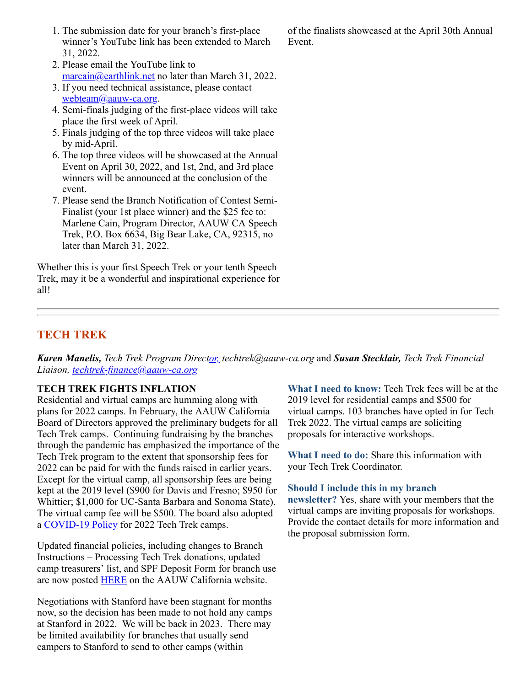- 1. The submission date for your branch's first-place winner's YouTube link has been extended to March 31, 2022.
- 2. Please email the YouTube link to [marcain@earthlink.net](mailto:marcain@earthlink.net) no later than March 31, 2022.
- 3. If you need technical assistance, please contact [webteam@aauw-ca.org.](mailto:webteam@aauw-ca.org)
- 4. Semi-finals judging of the first-place videos will take place the first week of April.
- 5. Finals judging of the top three videos will take place by mid-April.
- 6. The top three videos will be showcased at the Annual Event on April 30, 2022, and 1st, 2nd, and 3rd place winners will be announced at the conclusion of the event.
- 7. Please send the Branch Notification of Contest Semi-Finalist (your 1st place winner) and the \$25 fee to: Marlene Cain, Program Director, AAUW CA Speech Trek, P.O. Box 6634, Big Bear Lake, CA, 92315, no later than March 31, 2022.

Whether this is your first Speech Trek or your tenth Speech Trek, may it be a wonderful and inspirational experience for all!

of the finalists showcased at the April 30th Annual Event.

# **TECH TREK**

*Karen Manelis, Tech Trek Program Direc[tor,](mailto:techtrek-finance@aauw-ca.org) techtrek@aauw-ca.org* and *Susan Stecklair, Tech Trek Financial Liaison, [techtrek-finance@aauw-ca.org](mailto:techtrek-finance@aauw-ca.org)*

## **TECH TREK FIGHTS INFLATION**

Residential and virtual camps are humming along with plans for 2022 camps. In February, the AAUW California Board of Directors approved the preliminary budgets for all Tech Trek camps. Continuing fundraising by the branches through the pandemic has emphasized the importance of the Tech Trek program to the extent that sponsorship fees for 2022 can be paid for with the funds raised in earlier years. Except for the virtual camp, all sponsorship fees are being kept at the 2019 level (\$900 for Davis and Fresno; \$950 for Whittier; \$1,000 for UC-Santa Barbara and Sonoma State). The virtual camp fee will be \$500. The board also adopted a [COVID-19 Policy](https://bor.aauw-ca.org/sendy/l/892iUf2Z3Hxblitd0dEvE47A/892ldxOcFiuc76379sEvYRg7bw/6Vly16GQpoxdr33ZHi2zOw) for 2022 Tech Trek camps.

Updated financial policies, including changes to Branch Instructions – Processing Tech Trek donations, updated camp treasurers' list, and SPF Deposit Form for branch use are now posted [HERE](https://bor.aauw-ca.org/sendy/l/892iUf2Z3Hxblitd0dEvE47A/wRSjkVDp4NgUONzGvivORQ/6Vly16GQpoxdr33ZHi2zOw) on the AAUW California website.

Negotiations with Stanford have been stagnant for months now, so the decision has been made to not hold any camps at Stanford in 2022. We will be back in 2023. There may be limited availability for branches that usually send campers to Stanford to send to other camps (within

**What I need to know:** Tech Trek fees will be at the 2019 level for residential camps and \$500 for virtual camps. 103 branches have opted in for Tech Trek 2022. The virtual camps are soliciting proposals for interactive workshops.

**What I need to do:** Share this information with your Tech Trek Coordinator.

### **Should I include this in my branch**

**newsletter?** Yes, share with your members that the virtual camps are inviting proposals for workshops. Provide the contact details for more information and the proposal submission form.